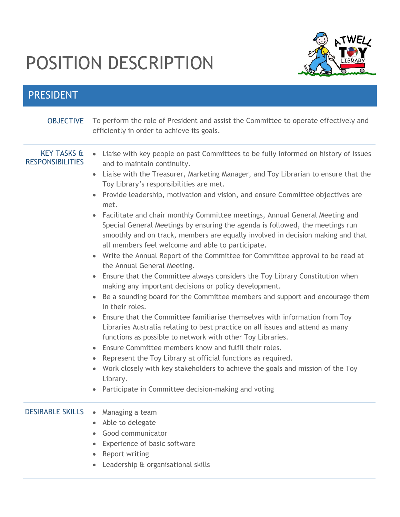## POSITION DESCRIPTION



## PRESIDENT

| <b>OBJECTIVE</b>                                  | To perform the role of President and assist the Committee to operate effectively and<br>efficiently in order to achieve its goals.                                                                                                                                                                                                                                                                                                                                                                                                                                                                                                                                                                                                                                                                                                                                                                                                                                                                                                                                                                                                                                                                                                                                                                                                                                                                                                                                                                                                                                       |
|---------------------------------------------------|--------------------------------------------------------------------------------------------------------------------------------------------------------------------------------------------------------------------------------------------------------------------------------------------------------------------------------------------------------------------------------------------------------------------------------------------------------------------------------------------------------------------------------------------------------------------------------------------------------------------------------------------------------------------------------------------------------------------------------------------------------------------------------------------------------------------------------------------------------------------------------------------------------------------------------------------------------------------------------------------------------------------------------------------------------------------------------------------------------------------------------------------------------------------------------------------------------------------------------------------------------------------------------------------------------------------------------------------------------------------------------------------------------------------------------------------------------------------------------------------------------------------------------------------------------------------------|
| <b>KEY TASKS &amp;</b><br><b>RESPONSIBILITIES</b> | • Liaise with key people on past Committees to be fully informed on history of issues<br>and to maintain continuity.<br>Liaise with the Treasurer, Marketing Manager, and Toy Librarian to ensure that the<br>Toy Library's responsibilities are met.<br>Provide leadership, motivation and vision, and ensure Committee objectives are<br>$\bullet$<br>met.<br>• Facilitate and chair monthly Committee meetings, Annual General Meeting and<br>Special General Meetings by ensuring the agenda is followed, the meetings run<br>smoothly and on track, members are equally involved in decision making and that<br>all members feel welcome and able to participate.<br>Write the Annual Report of the Committee for Committee approval to be read at<br>the Annual General Meeting.<br>Ensure that the Committee always considers the Toy Library Constitution when<br>making any important decisions or policy development.<br>Be a sounding board for the Committee members and support and encourage them<br>$\bullet$<br>in their roles.<br>Ensure that the Committee familiarise themselves with information from Toy<br>Libraries Australia relating to best practice on all issues and attend as many<br>functions as possible to network with other Toy Libraries.<br>Ensure Committee members know and fulfil their roles.<br>$\bullet$<br>Represent the Toy Library at official functions as required.<br>Work closely with key stakeholders to achieve the goals and mission of the Toy<br>Library.<br>Participate in Committee decision-making and voting |
| <b>DESIRABLE SKILLS</b>                           | Managing a team<br>Able to delegate<br>Good communicator<br>Experience of basic software<br>Report writing<br>Leadership & organisational skills                                                                                                                                                                                                                                                                                                                                                                                                                                                                                                                                                                                                                                                                                                                                                                                                                                                                                                                                                                                                                                                                                                                                                                                                                                                                                                                                                                                                                         |